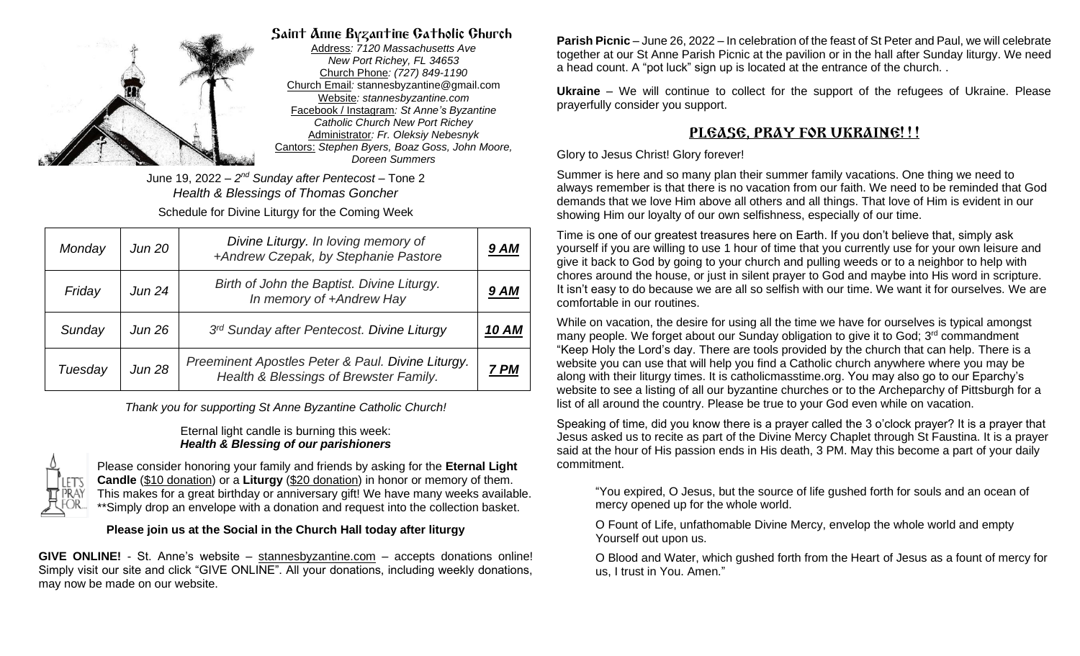

## Saint Anne Byzantine Catholic Church

Address*: 7120 Massachusetts Ave New Port Richey, FL 34653* Church Phone*: (727) 849-1190* Church Email*:* stannesbyzantine@gmail.com Website*: stannesbyzantine.com* Facebook / Instagram*: St Anne's Byzantine Catholic Church New Port Richey* Administrator*: Fr. Oleksiy Nebesnyk* Cantors: *Stephen Byers, Boaz Goss, John Moore, Doreen Summers*

June 19, 2022 – *2 nd Sunday after Pentecost* – Tone 2 *Health & Blessings of Thomas Goncher* Schedule for Divine Liturgy for the Coming Week

| Monday  | <b>Jun 20</b> | Divine Liturgy. In loving memory of<br>+Andrew Czepak, by Stephanie Pastore                 | 9 AM  |
|---------|---------------|---------------------------------------------------------------------------------------------|-------|
| Friday  | <b>Jun 24</b> | Birth of John the Baptist. Divine Liturgy.<br>In memory of +Andrew Hay                      | 9 AM  |
| Sunday  | Jun 26        | 3rd Sunday after Pentecost. Divine Liturgy                                                  | 10 AM |
| Tuesday | <b>Jun 28</b> | Preeminent Apostles Peter & Paul. Divine Liturgy.<br>Health & Blessings of Brewster Family. | 7 PM  |

*Thank you for supporting St Anne Byzantine Catholic Church!*

#### Eternal light candle is burning this week: *Health & Blessing of our parishioners*



Please consider honoring your family and friends by asking for the **Eternal Light Candle** (\$10 donation) or a **Liturgy** (\$20 donation) in honor or memory of them. This makes for a great birthday or anniversary gift! We have many weeks available. \*\*Simply drop an envelope with a donation and request into the collection basket.

### **Please join us at the Social in the Church Hall today after liturgy**

GIVE ONLINE! - St. Anne's website – [stannesbyzantine.com](https://www.stannesbyzantine.com/) – accepts donations online! Simply visit our site and click "GIVE ONLINE". All your donations, including weekly donations, may now be made on our website.

**Parish Picnic** – June 26, 2022 – In celebration of the feast of St Peter and Paul, we will celebrate together at our St Anne Parish Picnic at the pavilion or in the hall after Sunday liturgy. We need a head count. A "pot luck" sign up is located at the entrance of the church. .

**Ukraine** – We will continue to collect for the support of the refugees of Ukraine. Please prayerfully consider you support.

# PLGASG, PRAY FOR UKRAING!!!

#### Glory to Jesus Christ! Glory forever!

Summer is here and so many plan their summer family vacations. One thing we need to always remember is that there is no vacation from our faith. We need to be reminded that God demands that we love Him above all others and all things. That love of Him is evident in our showing Him our loyalty of our own selfishness, especially of our time.

Time is one of our greatest treasures here on Earth. If you don't believe that, simply ask yourself if you are willing to use 1 hour of time that you currently use for your own leisure and give it back to God by going to your church and pulling weeds or to a neighbor to help with chores around the house, or just in silent prayer to God and maybe into His word in scripture. It isn't easy to do because we are all so selfish with our time. We want it for ourselves. We are comfortable in our routines.

While on vacation, the desire for using all the time we have for ourselves is typical amongst many people. We forget about our Sunday obligation to give it to God; 3<sup>rd</sup> commandment "Keep Holy the Lord's day. There are tools provided by the church that can help. There is a website you can use that will help you find a Catholic church anywhere where you may be along with their liturgy times. It is catholicmasstime.org. You may also go to our Eparchy's website to see a listing of all our byzantine churches or to the Archeparchy of Pittsburgh for a list of all around the country. Please be true to your God even while on vacation.

Speaking of time, did you know there is a prayer called the 3 o'clock prayer? It is a prayer that Jesus asked us to recite as part of the Divine Mercy Chaplet through St Faustina. It is a prayer said at the hour of His passion ends in His death, 3 PM. May this become a part of your daily commitment.

"You expired, O Jesus, but the source of life gushed forth for souls and an ocean of mercy opened up for the whole world.

O Fount of Life, unfathomable Divine Mercy, envelop the whole world and empty Yourself out upon us.

O Blood and Water, which gushed forth from the Heart of Jesus as a fount of mercy for us, I trust in You. Amen."